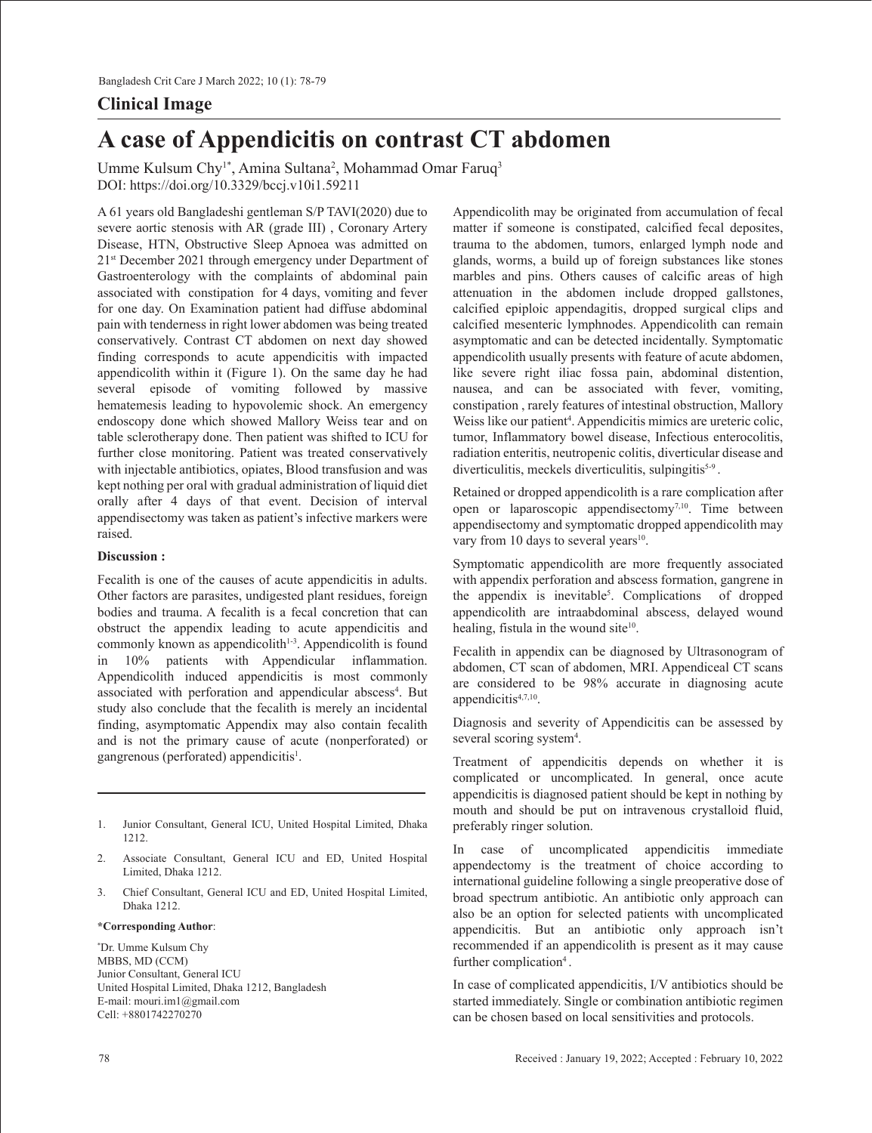# **Clinical Image**

# **A case of Appendicitis on contrast CT abdomen**

Umme Kulsum Chy<sup>1\*</sup>, Amina Sultana<sup>2</sup>, Mohammad Omar Faruq<sup>3</sup> DOI: https://doi.org/10.3329/bccj.v10i1.59211

A 61 years old Bangladeshi gentleman S/P TAVI(2020) due to severe aortic stenosis with AR (grade III) , Coronary Artery Disease, HTN, Obstructive Sleep Apnoea was admitted on 21st December 2021 through emergency under Department of Gastroenterology with the complaints of abdominal pain associated with constipation for 4 days, vomiting and fever for one day. On Examination patient had diffuse abdominal pain with tenderness in right lower abdomen was being treated conservatively. Contrast CT abdomen on next day showed finding corresponds to acute appendicitis with impacted appendicolith within it (Figure 1). On the same day he had several episode of vomiting followed by massive hematemesis leading to hypovolemic shock. An emergency endoscopy done which showed Mallory Weiss tear and on table sclerotherapy done. Then patient was shifted to ICU for further close monitoring. Patient was treated conservatively with injectable antibiotics, opiates, Blood transfusion and was kept nothing per oral with gradual administration of liquid diet orally after 4 days of that event. Decision of interval appendisectomy was taken as patient's infective markers were raised.

## **Discussion :**

Fecalith is one of the causes of acute appendicitis in adults. Other factors are parasites, undigested plant residues, foreign bodies and trauma. A fecalith is a fecal concretion that can obstruct the appendix leading to acute appendicitis and commonly known as appendicolith $1-3$ . Appendicolith is found in 10% patients with Appendicular inflammation. Appendicolith induced appendicitis is most commonly associated with perforation and appendicular abscess<sup>4</sup>. But study also conclude that the fecalith is merely an incidental finding, asymptomatic Appendix may also contain fecalith and is not the primary cause of acute (nonperforated) or gangrenous (perforated) appendicitis<sup>1</sup>.

- 1. Junior Consultant, General ICU, United Hospital Limited, Dhaka 1212.
- 2. Associate Consultant, General ICU and ED, United Hospital Limited, Dhaka 1212.
- 3. Chief Consultant, General ICU and ED, United Hospital Limited, Dhaka 1212.

#### **\*Corresponding Author**:

\* Dr. Umme Kulsum Chy MBBS, MD (CCM) Junior Consultant, General ICU United Hospital Limited, Dhaka 1212, Bangladesh E-mail: mouri.im1@gmail.com Cell: +8801742270270

Appendicolith may be originated from accumulation of fecal matter if someone is constipated, calcified fecal deposites, trauma to the abdomen, tumors, enlarged lymph node and glands, worms, a build up of foreign substances like stones marbles and pins. Others causes of calcific areas of high attenuation in the abdomen include dropped gallstones, calcified epiploic appendagitis, dropped surgical clips and calcified mesenteric lymphnodes. Appendicolith can remain asymptomatic and can be detected incidentally. Symptomatic appendicolith usually presents with feature of acute abdomen, like severe right iliac fossa pain, abdominal distention, nausea, and can be associated with fever, vomiting, constipation , rarely features of intestinal obstruction, Mallory Weiss like our patient<sup>4</sup>. Appendicitis mimics are ureteric colic, tumor, Inflammatory bowel disease, Infectious enterocolitis, radiation enteritis, neutropenic colitis, diverticular disease and diverticulitis, meckels diverticulitis, sulpingitis<sup>5-9</sup>.

Retained or dropped appendicolith is a rare complication after open or laparoscopic appendisectomy7,10. Time between appendisectomy and symptomatic dropped appendicolith may vary from 10 days to several years $10$ .

Symptomatic appendicolith are more frequently associated with appendix perforation and abscess formation, gangrene in the appendix is inevitable<sup>5</sup>. Complications of dropped appendicolith are intraabdominal abscess, delayed wound healing, fistula in the wound site<sup>10</sup>.

Fecalith in appendix can be diagnosed by Ultrasonogram of abdomen, CT scan of abdomen, MRI. Appendiceal CT scans are considered to be 98% accurate in diagnosing acute appendicitis<sup>4,7,10</sup>.

Diagnosis and severity of Appendicitis can be assessed by several scoring system<sup>4</sup>.

Treatment of appendicitis depends on whether it is complicated or uncomplicated. In general, once acute appendicitis is diagnosed patient should be kept in nothing by mouth and should be put on intravenous crystalloid fluid, preferably ringer solution.

In case of uncomplicated appendicitis immediate appendectomy is the treatment of choice according to international guideline following a single preoperative dose of broad spectrum antibiotic. An antibiotic only approach can also be an option for selected patients with uncomplicated appendicitis. But an antibiotic only approach isn't recommended if an appendicolith is present as it may cause further complication<sup>4</sup>.

In case of complicated appendicitis, I/V antibiotics should be started immediately. Single or combination antibiotic regimen can be chosen based on local sensitivities and protocols.